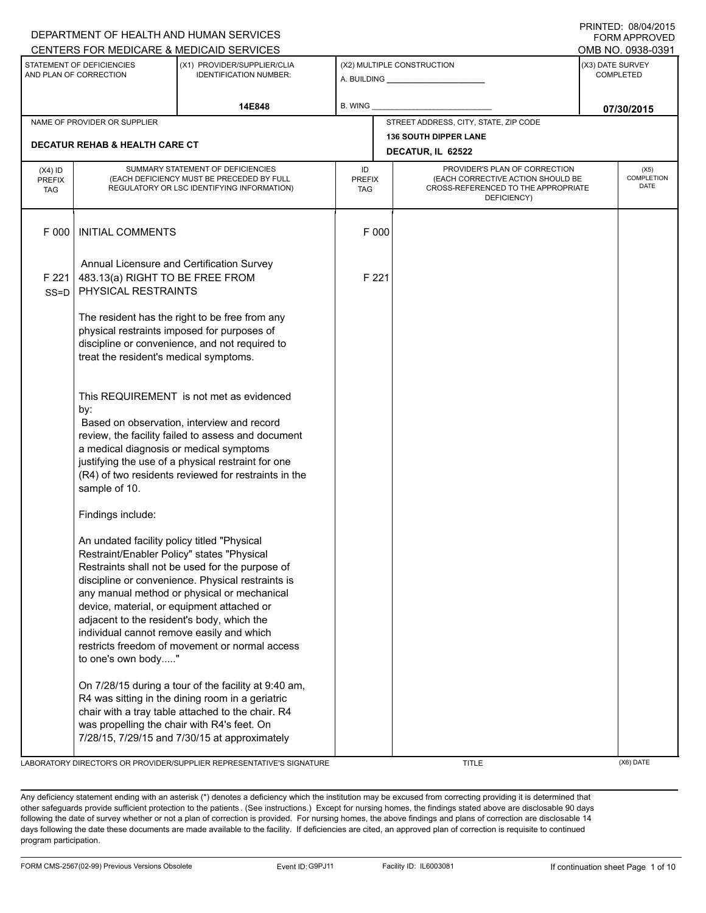|                                          |                                                                                                                                                                                                                                                                               | DEPARTMENT OF HEALTH AND HUMAN SERVICES                                                                                                                                                                                                                    |                                   |                                                                                                                          |                                      | <b>FORM APPROVED</b>                     |
|------------------------------------------|-------------------------------------------------------------------------------------------------------------------------------------------------------------------------------------------------------------------------------------------------------------------------------|------------------------------------------------------------------------------------------------------------------------------------------------------------------------------------------------------------------------------------------------------------|-----------------------------------|--------------------------------------------------------------------------------------------------------------------------|--------------------------------------|------------------------------------------|
|                                          |                                                                                                                                                                                                                                                                               | CENTERS FOR MEDICARE & MEDICAID SERVICES                                                                                                                                                                                                                   |                                   |                                                                                                                          |                                      | OMB NO. 0938-0391                        |
|                                          | STATEMENT OF DEFICIENCIES<br>AND PLAN OF CORRECTION                                                                                                                                                                                                                           | (X1) PROVIDER/SUPPLIER/CLIA<br><b>IDENTIFICATION NUMBER:</b>                                                                                                                                                                                               |                                   | (X2) MULTIPLE CONSTRUCTION<br>A. BUILDING A. BUILDING                                                                    | (X3) DATE SURVEY<br><b>COMPLETED</b> |                                          |
|                                          |                                                                                                                                                                                                                                                                               | 14E848                                                                                                                                                                                                                                                     | B. WING                           |                                                                                                                          |                                      | 07/30/2015                               |
|                                          | NAME OF PROVIDER OR SUPPLIER                                                                                                                                                                                                                                                  |                                                                                                                                                                                                                                                            |                                   | STREET ADDRESS, CITY, STATE, ZIP CODE                                                                                    |                                      |                                          |
|                                          | <b>DECATUR REHAB &amp; HEALTH CARE CT</b>                                                                                                                                                                                                                                     |                                                                                                                                                                                                                                                            |                                   | <b>136 SOUTH DIPPER LANE</b><br>DECATUR, IL 62522                                                                        |                                      |                                          |
| $(X4)$ ID<br><b>PREFIX</b><br><b>TAG</b> |                                                                                                                                                                                                                                                                               | SUMMARY STATEMENT OF DEFICIENCIES<br>(EACH DEFICIENCY MUST BE PRECEDED BY FULL<br>REGULATORY OR LSC IDENTIFYING INFORMATION)                                                                                                                               | ID<br><b>PREFIX</b><br><b>TAG</b> | PROVIDER'S PLAN OF CORRECTION<br>(EACH CORRECTIVE ACTION SHOULD BE<br>CROSS-REFERENCED TO THE APPROPRIATE<br>DEFICIENCY) |                                      | (X5)<br><b>COMPLETION</b><br><b>DATE</b> |
| F 000                                    | <b>INITIAL COMMENTS</b>                                                                                                                                                                                                                                                       |                                                                                                                                                                                                                                                            | F 000                             |                                                                                                                          |                                      |                                          |
| F 221<br>$SS = D$                        | Annual Licensure and Certification Survey<br>483.13(a) RIGHT TO BE FREE FROM<br>PHYSICAL RESTRAINTS                                                                                                                                                                           |                                                                                                                                                                                                                                                            | F 221                             |                                                                                                                          |                                      |                                          |
|                                          | treat the resident's medical symptoms.                                                                                                                                                                                                                                        | The resident has the right to be free from any<br>physical restraints imposed for purposes of<br>discipline or convenience, and not required to                                                                                                            |                                   |                                                                                                                          |                                      |                                          |
|                                          | by:<br>a medical diagnosis or medical symptoms<br>sample of 10.                                                                                                                                                                                                               | This REQUIREMENT is not met as evidenced<br>Based on observation, interview and record<br>review, the facility failed to assess and document<br>justifying the use of a physical restraint for one<br>(R4) of two residents reviewed for restraints in the |                                   |                                                                                                                          |                                      |                                          |
|                                          | Findings include:<br>An undated facility policy titled "Physical<br>Restraint/Enabler Policy" states "Physical<br>device, material, or equipment attached or<br>adjacent to the resident's body, which the<br>individual cannot remove easily and which<br>to one's own body" | Restraints shall not be used for the purpose of<br>discipline or convenience. Physical restraints is<br>any manual method or physical or mechanical<br>restricts freedom of movement or normal access                                                      |                                   |                                                                                                                          |                                      |                                          |
|                                          | was propelling the chair with R4's feet. On                                                                                                                                                                                                                                   | On 7/28/15 during a tour of the facility at 9:40 am,<br>R4 was sitting in the dining room in a geriatric<br>chair with a tray table attached to the chair. R4<br>7/28/15, 7/29/15 and 7/30/15 at approximately                                             |                                   |                                                                                                                          |                                      |                                          |

LABORATORY DIRECTOR'S OR PROVIDER/SUPPLIER REPRESENTATIVE'S SIGNATURE TITLE THE TITLE (X6) DATE

PRINTED: 08/04/2015  $F$ 

Any deficiency statement ending with an asterisk (\*) denotes a deficiency which the institution may be excused from correcting providing it is determined that other safeguards provide sufficient protection to the patients . (See instructions.) Except for nursing homes, the findings stated above are disclosable 90 days following the date of survey whether or not a plan of correction is provided. For nursing homes, the above findings and plans of correction are disclosable 14 days following the date these documents are made available to the facility. If deficiencies are cited, an approved plan of correction is requisite to continued program participation.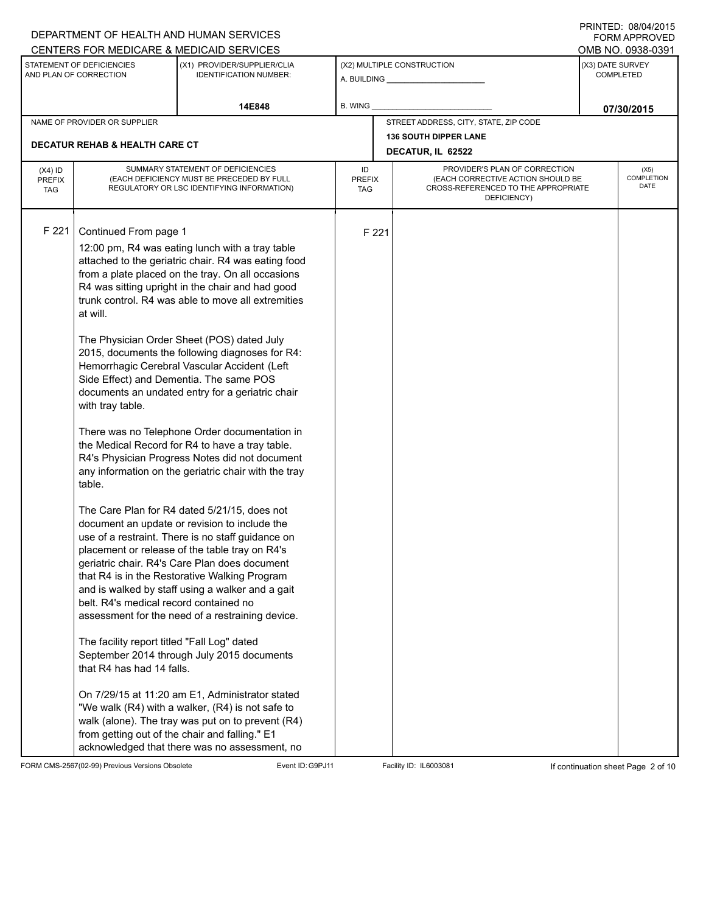|                                          |                                                                                                                                                                                                                                  | DEPARTMENT OF HEALTH AND HUMAN SERVICES<br>CENTERS FOR MEDICARE & MEDICAID SERVICES                                                                                                                                                                                                                                                                                                                                                                                                                                                                                                                                                                                                                                                                                                                                                                                                                                                                                                                                                                                                                                                                                                                                                                                                                                                                                                                                     |                                                   |       |                                                                                                                          |                  | FININILU. VOIVHIZU IJ<br><b>FORM APPROVED</b><br>OMB NO. 0938-0391 |
|------------------------------------------|----------------------------------------------------------------------------------------------------------------------------------------------------------------------------------------------------------------------------------|-------------------------------------------------------------------------------------------------------------------------------------------------------------------------------------------------------------------------------------------------------------------------------------------------------------------------------------------------------------------------------------------------------------------------------------------------------------------------------------------------------------------------------------------------------------------------------------------------------------------------------------------------------------------------------------------------------------------------------------------------------------------------------------------------------------------------------------------------------------------------------------------------------------------------------------------------------------------------------------------------------------------------------------------------------------------------------------------------------------------------------------------------------------------------------------------------------------------------------------------------------------------------------------------------------------------------------------------------------------------------------------------------------------------------|---------------------------------------------------|-------|--------------------------------------------------------------------------------------------------------------------------|------------------|--------------------------------------------------------------------|
|                                          | STATEMENT OF DEFICIENCIES<br>AND PLAN OF CORRECTION                                                                                                                                                                              | (X1) PROVIDER/SUPPLIER/CLIA<br><b>IDENTIFICATION NUMBER:</b>                                                                                                                                                                                                                                                                                                                                                                                                                                                                                                                                                                                                                                                                                                                                                                                                                                                                                                                                                                                                                                                                                                                                                                                                                                                                                                                                                            |                                                   |       | (X2) MULTIPLE CONSTRUCTION                                                                                               | (X3) DATE SURVEY | <b>COMPLETED</b>                                                   |
|                                          |                                                                                                                                                                                                                                  | 14E848                                                                                                                                                                                                                                                                                                                                                                                                                                                                                                                                                                                                                                                                                                                                                                                                                                                                                                                                                                                                                                                                                                                                                                                                                                                                                                                                                                                                                  | <b>B. WING</b>                                    |       |                                                                                                                          |                  | 07/30/2015                                                         |
|                                          | NAME OF PROVIDER OR SUPPLIER                                                                                                                                                                                                     |                                                                                                                                                                                                                                                                                                                                                                                                                                                                                                                                                                                                                                                                                                                                                                                                                                                                                                                                                                                                                                                                                                                                                                                                                                                                                                                                                                                                                         |                                                   |       | STREET ADDRESS, CITY, STATE, ZIP CODE                                                                                    |                  |                                                                    |
|                                          | <b>DECATUR REHAB &amp; HEALTH CARE CT</b>                                                                                                                                                                                        |                                                                                                                                                                                                                                                                                                                                                                                                                                                                                                                                                                                                                                                                                                                                                                                                                                                                                                                                                                                                                                                                                                                                                                                                                                                                                                                                                                                                                         | <b>136 SOUTH DIPPER LANE</b><br>DECATUR, IL 62522 |       |                                                                                                                          |                  |                                                                    |
| $(X4)$ ID<br><b>PREFIX</b><br><b>TAG</b> |                                                                                                                                                                                                                                  | SUMMARY STATEMENT OF DEFICIENCIES<br>(EACH DEFICIENCY MUST BE PRECEDED BY FULL<br>REGULATORY OR LSC IDENTIFYING INFORMATION)                                                                                                                                                                                                                                                                                                                                                                                                                                                                                                                                                                                                                                                                                                                                                                                                                                                                                                                                                                                                                                                                                                                                                                                                                                                                                            | ID<br><b>PREFIX</b><br><b>TAG</b>                 |       | PROVIDER'S PLAN OF CORRECTION<br>(EACH CORRECTIVE ACTION SHOULD BE<br>CROSS-REFERENCED TO THE APPROPRIATE<br>DEFICIENCY) |                  | (X5)<br>COMPLETION<br><b>DATE</b>                                  |
| F 221                                    | Continued From page 1<br>at will.<br>Side Effect) and Dementia. The same POS<br>with tray table.<br>table.<br>belt. R4's medical record contained no<br>The facility report titled "Fall Log" dated<br>that R4 has had 14 falls. | 12:00 pm, R4 was eating lunch with a tray table<br>attached to the geriatric chair. R4 was eating food<br>from a plate placed on the tray. On all occasions<br>R4 was sitting upright in the chair and had good<br>trunk control. R4 was able to move all extremities<br>The Physician Order Sheet (POS) dated July<br>2015, documents the following diagnoses for R4:<br>Hemorrhagic Cerebral Vascular Accident (Left<br>documents an undated entry for a geriatric chair<br>There was no Telephone Order documentation in<br>the Medical Record for R4 to have a tray table.<br>R4's Physician Progress Notes did not document<br>any information on the geriatric chair with the tray<br>The Care Plan for R4 dated 5/21/15, does not<br>document an update or revision to include the<br>use of a restraint. There is no staff guidance on<br>placement or release of the table tray on R4's<br>geriatric chair. R4's Care Plan does document<br>that R4 is in the Restorative Walking Program<br>and is walked by staff using a walker and a gait<br>assessment for the need of a restraining device.<br>September 2014 through July 2015 documents<br>On 7/29/15 at 11:20 am E1, Administrator stated<br>"We walk (R4) with a walker, (R4) is not safe to<br>walk (alone). The tray was put on to prevent (R4)<br>from getting out of the chair and falling." E1<br>acknowledged that there was no assessment, no |                                                   | F 221 |                                                                                                                          |                  |                                                                    |

FORM CMS-2567(02-99) Previous Versions Obsolete Event ID:G9PJ11 Facility ID: IL6003081 If continuation sheet Page 2 of 10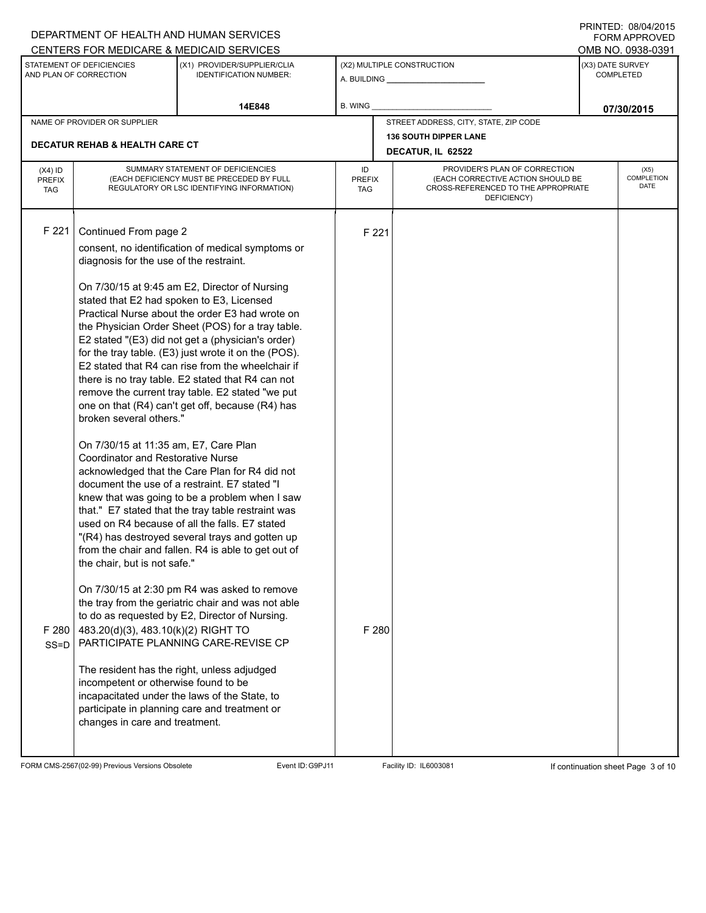|                                          |                                                                                                                                                                                                                                                                                                                                                                                | DEPARTMENT OF HEALTH AND HUMAN SERVICES                                                                                                                                                                                                                                                                                                                                                                                                                                                                                                                                                                                                                                                                                                                                                                                                                                                                                                                                                                                                                                                                                                                                                                                                                          |                                                                                                                                                               |                |                                                              |                                      | FORM APPROVED     |
|------------------------------------------|--------------------------------------------------------------------------------------------------------------------------------------------------------------------------------------------------------------------------------------------------------------------------------------------------------------------------------------------------------------------------------|------------------------------------------------------------------------------------------------------------------------------------------------------------------------------------------------------------------------------------------------------------------------------------------------------------------------------------------------------------------------------------------------------------------------------------------------------------------------------------------------------------------------------------------------------------------------------------------------------------------------------------------------------------------------------------------------------------------------------------------------------------------------------------------------------------------------------------------------------------------------------------------------------------------------------------------------------------------------------------------------------------------------------------------------------------------------------------------------------------------------------------------------------------------------------------------------------------------------------------------------------------------|---------------------------------------------------------------------------------------------------------------------------------------------------------------|----------------|--------------------------------------------------------------|--------------------------------------|-------------------|
|                                          |                                                                                                                                                                                                                                                                                                                                                                                | CENTERS FOR MEDICARE & MEDICAID SERVICES                                                                                                                                                                                                                                                                                                                                                                                                                                                                                                                                                                                                                                                                                                                                                                                                                                                                                                                                                                                                                                                                                                                                                                                                                         |                                                                                                                                                               |                |                                                              |                                      | OMB NO. 0938-0391 |
|                                          | STATEMENT OF DEFICIENCIES<br>AND PLAN OF CORRECTION                                                                                                                                                                                                                                                                                                                            | (X1) PROVIDER/SUPPLIER/CLIA<br><b>IDENTIFICATION NUMBER:</b>                                                                                                                                                                                                                                                                                                                                                                                                                                                                                                                                                                                                                                                                                                                                                                                                                                                                                                                                                                                                                                                                                                                                                                                                     |                                                                                                                                                               |                | (X2) MULTIPLE CONSTRUCTION<br>A. BUILDING <b>A. BUILDING</b> | (X3) DATE SURVEY<br><b>COMPLETED</b> |                   |
|                                          |                                                                                                                                                                                                                                                                                                                                                                                | 14E848                                                                                                                                                                                                                                                                                                                                                                                                                                                                                                                                                                                                                                                                                                                                                                                                                                                                                                                                                                                                                                                                                                                                                                                                                                                           | <b>B. WING</b>                                                                                                                                                |                |                                                              |                                      | 07/30/2015        |
|                                          | NAME OF PROVIDER OR SUPPLIER                                                                                                                                                                                                                                                                                                                                                   |                                                                                                                                                                                                                                                                                                                                                                                                                                                                                                                                                                                                                                                                                                                                                                                                                                                                                                                                                                                                                                                                                                                                                                                                                                                                  |                                                                                                                                                               |                | STREET ADDRESS, CITY, STATE, ZIP CODE                        |                                      |                   |
|                                          | <b>DECATUR REHAB &amp; HEALTH CARE CT</b>                                                                                                                                                                                                                                                                                                                                      |                                                                                                                                                                                                                                                                                                                                                                                                                                                                                                                                                                                                                                                                                                                                                                                                                                                                                                                                                                                                                                                                                                                                                                                                                                                                  |                                                                                                                                                               |                | <b>136 SOUTH DIPPER LANE</b>                                 |                                      |                   |
|                                          |                                                                                                                                                                                                                                                                                                                                                                                |                                                                                                                                                                                                                                                                                                                                                                                                                                                                                                                                                                                                                                                                                                                                                                                                                                                                                                                                                                                                                                                                                                                                                                                                                                                                  | DECATUR, IL 62522                                                                                                                                             |                |                                                              |                                      |                   |
| $(X4)$ ID<br><b>PREFIX</b><br><b>TAG</b> |                                                                                                                                                                                                                                                                                                                                                                                | SUMMARY STATEMENT OF DEFICIENCIES<br>(EACH DEFICIENCY MUST BE PRECEDED BY FULL<br>REGULATORY OR LSC IDENTIFYING INFORMATION)                                                                                                                                                                                                                                                                                                                                                                                                                                                                                                                                                                                                                                                                                                                                                                                                                                                                                                                                                                                                                                                                                                                                     | PROVIDER'S PLAN OF CORRECTION<br>ID<br>(EACH CORRECTIVE ACTION SHOULD BE<br><b>PREFIX</b><br>CROSS-REFERENCED TO THE APPROPRIATE<br><b>TAG</b><br>DEFICIENCY) |                |                                                              | (X5)<br>COMPLETION<br>DATE           |                   |
| F 221<br>F 280<br>SS=D                   | Continued From page 2<br>diagnosis for the use of the restraint.<br>stated that E2 had spoken to E3, Licensed<br>broken several others."<br>On 7/30/15 at 11:35 am, E7, Care Plan<br><b>Coordinator and Restorative Nurse</b><br>the chair, but is not safe."<br>483.20(d)(3), 483.10(k)(2) RIGHT TO<br>incompetent or otherwise found to be<br>changes in care and treatment. | consent, no identification of medical symptoms or<br>On 7/30/15 at 9:45 am E2, Director of Nursing<br>Practical Nurse about the order E3 had wrote on<br>the Physician Order Sheet (POS) for a tray table.<br>E2 stated "(E3) did not get a (physician's order)<br>for the tray table. (E3) just wrote it on the (POS).<br>E2 stated that R4 can rise from the wheelchair if<br>there is no tray table. E2 stated that R4 can not<br>remove the current tray table. E2 stated "we put<br>one on that (R4) can't get off, because (R4) has<br>acknowledged that the Care Plan for R4 did not<br>document the use of a restraint. E7 stated "I<br>knew that was going to be a problem when I saw<br>that." E7 stated that the tray table restraint was<br>used on R4 because of all the falls. E7 stated<br>"(R4) has destroyed several trays and gotten up<br>from the chair and fallen. R4 is able to get out of<br>On 7/30/15 at 2:30 pm R4 was asked to remove<br>the tray from the geriatric chair and was not able<br>to do as requested by E2, Director of Nursing.<br>PARTICIPATE PLANNING CARE-REVISE CP<br>The resident has the right, unless adjudged<br>incapacitated under the laws of the State, to<br>participate in planning care and treatment or |                                                                                                                                                               | F 221<br>F 280 |                                                              |                                      |                   |
|                                          |                                                                                                                                                                                                                                                                                                                                                                                |                                                                                                                                                                                                                                                                                                                                                                                                                                                                                                                                                                                                                                                                                                                                                                                                                                                                                                                                                                                                                                                                                                                                                                                                                                                                  |                                                                                                                                                               |                |                                                              |                                      |                   |

FORM CMS-2567(02-99) Previous Versions Obsolete Event ID:G9PJ11 Facility ID: IL6003081 If continuation sheet Page 3 of 10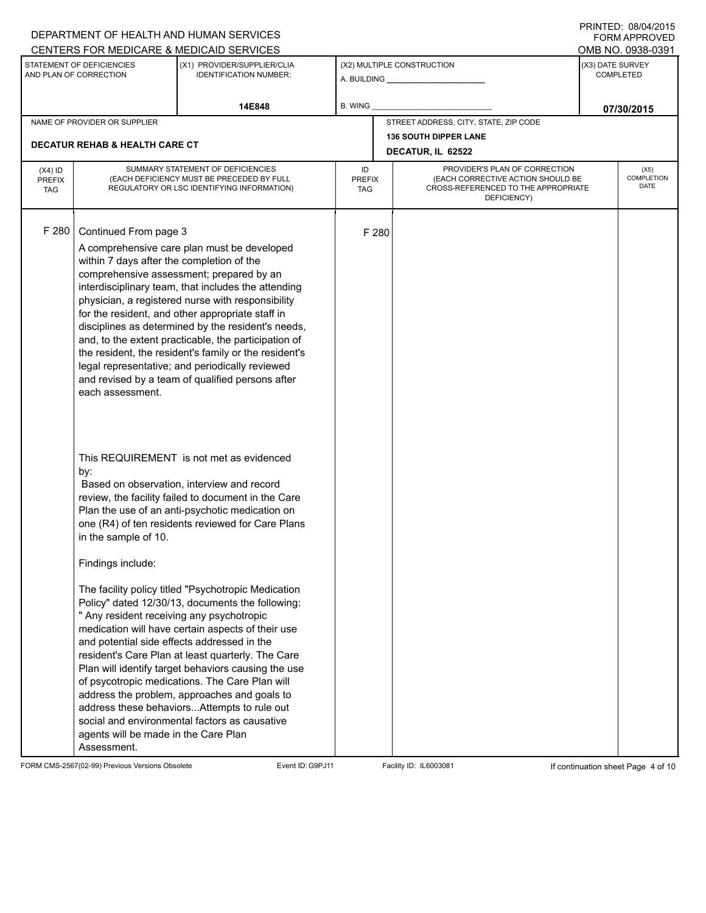|                                          |                                                                                                                                                                                                     | DEPARTMENT OF HEALTH AND HUMAN SERVICES<br>CENTERS FOR MEDICARE & MEDICAID SERVICES                                                                                                                                                                                                                                                                                                                                                                                                                                                                                                                                                                                                                                                  |                                                                                                                                                               |                                                   |                                       |                                   | FININILU. VOIVHIZU IJ<br><b>FORM APPROVED</b><br>OMB NO. 0938-0391 |  |  |
|------------------------------------------|-----------------------------------------------------------------------------------------------------------------------------------------------------------------------------------------------------|--------------------------------------------------------------------------------------------------------------------------------------------------------------------------------------------------------------------------------------------------------------------------------------------------------------------------------------------------------------------------------------------------------------------------------------------------------------------------------------------------------------------------------------------------------------------------------------------------------------------------------------------------------------------------------------------------------------------------------------|---------------------------------------------------------------------------------------------------------------------------------------------------------------|---------------------------------------------------|---------------------------------------|-----------------------------------|--------------------------------------------------------------------|--|--|
|                                          | STATEMENT OF DEFICIENCIES<br>AND PLAN OF CORRECTION                                                                                                                                                 | (X1) PROVIDER/SUPPLIER/CLIA<br><b>IDENTIFICATION NUMBER:</b>                                                                                                                                                                                                                                                                                                                                                                                                                                                                                                                                                                                                                                                                         |                                                                                                                                                               |                                                   | (X2) MULTIPLE CONSTRUCTION            |                                   | (X3) DATE SURVEY<br><b>COMPLETED</b>                               |  |  |
|                                          |                                                                                                                                                                                                     | 14E848                                                                                                                                                                                                                                                                                                                                                                                                                                                                                                                                                                                                                                                                                                                               | <b>B. WING</b>                                                                                                                                                |                                                   |                                       |                                   | 07/30/2015                                                         |  |  |
|                                          | NAME OF PROVIDER OR SUPPLIER                                                                                                                                                                        |                                                                                                                                                                                                                                                                                                                                                                                                                                                                                                                                                                                                                                                                                                                                      |                                                                                                                                                               |                                                   | STREET ADDRESS, CITY, STATE, ZIP CODE |                                   |                                                                    |  |  |
|                                          | <b>DECATUR REHAB &amp; HEALTH CARE CT</b>                                                                                                                                                           |                                                                                                                                                                                                                                                                                                                                                                                                                                                                                                                                                                                                                                                                                                                                      |                                                                                                                                                               | <b>136 SOUTH DIPPER LANE</b><br>DECATUR, IL 62522 |                                       |                                   |                                                                    |  |  |
| $(X4)$ ID<br><b>PREFIX</b><br><b>TAG</b> |                                                                                                                                                                                                     | SUMMARY STATEMENT OF DEFICIENCIES<br>(EACH DEFICIENCY MUST BE PRECEDED BY FULL<br>REGULATORY OR LSC IDENTIFYING INFORMATION)                                                                                                                                                                                                                                                                                                                                                                                                                                                                                                                                                                                                         | PROVIDER'S PLAN OF CORRECTION<br>ID<br>(EACH CORRECTIVE ACTION SHOULD BE<br><b>PREFIX</b><br>CROSS-REFERENCED TO THE APPROPRIATE<br><b>TAG</b><br>DEFICIENCY) |                                                   |                                       | (X5)<br>COMPLETION<br><b>DATE</b> |                                                                    |  |  |
| F 280                                    | Continued From page 3<br>within 7 days after the completion of the<br>each assessment.                                                                                                              | A comprehensive care plan must be developed<br>comprehensive assessment; prepared by an<br>interdisciplinary team, that includes the attending<br>physician, a registered nurse with responsibility<br>for the resident, and other appropriate staff in<br>disciplines as determined by the resident's needs,<br>and, to the extent practicable, the participation of<br>the resident, the resident's family or the resident's<br>legal representative; and periodically reviewed<br>and revised by a team of qualified persons after                                                                                                                                                                                                |                                                                                                                                                               | F 280                                             |                                       |                                   |                                                                    |  |  |
|                                          | by:<br>in the sample of 10.<br>Findings include:<br>" Any resident receiving any psychotropic<br>and potential side effects addressed in the<br>agents will be made in the Care Plan<br>Assessment. | This REQUIREMENT is not met as evidenced<br>Based on observation, interview and record<br>review, the facility failed to document in the Care<br>Plan the use of an anti-psychotic medication on<br>one (R4) of ten residents reviewed for Care Plans<br>The facility policy titled "Psychotropic Medication<br>Policy" dated 12/30/13, documents the following:<br>medication will have certain aspects of their use<br>resident's Care Plan at least quarterly. The Care<br>Plan will identify target behaviors causing the use<br>of psycotropic medications. The Care Plan will<br>address the problem, approaches and goals to<br>address these behaviors Attempts to rule out<br>social and environmental factors as causative |                                                                                                                                                               |                                                   |                                       |                                   |                                                                    |  |  |

FORM CMS-2567(02-99) Previous Versions Obsolete Event ID:G9PJ11 Facility ID: IL6003081 If continuation sheet Page 4 of 10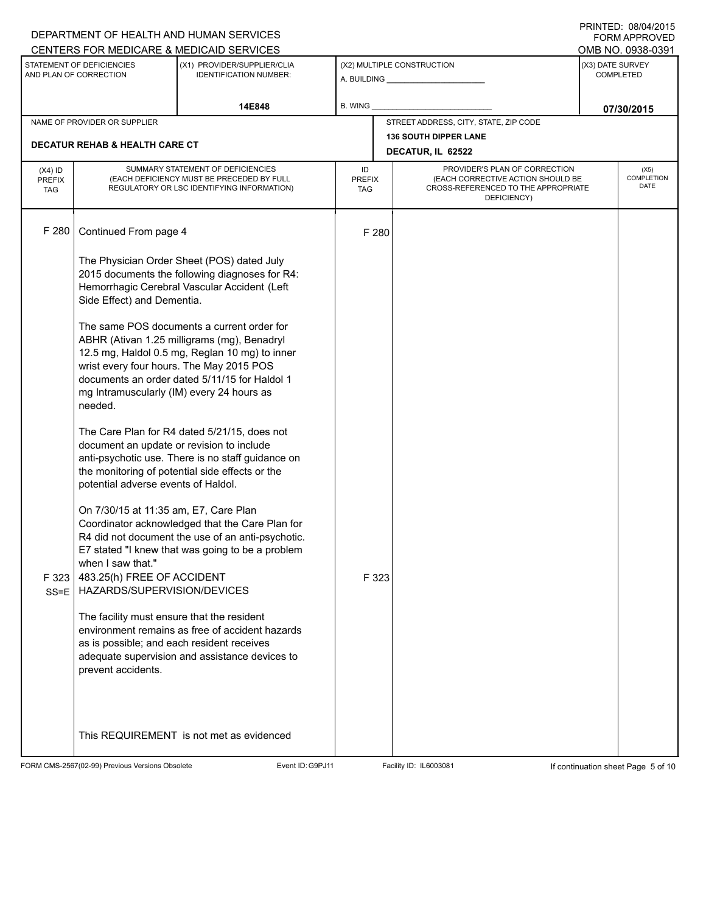|                                          |                                                                                                                                                                            | DEPARTMENT OF HEALTH AND HUMAN SERVICES                                                                                                                                                      |           |                                                                                                                                           |                                                              |                                      | <b>FORM APPROVED</b>                     |  |  |  |
|------------------------------------------|----------------------------------------------------------------------------------------------------------------------------------------------------------------------------|----------------------------------------------------------------------------------------------------------------------------------------------------------------------------------------------|-----------|-------------------------------------------------------------------------------------------------------------------------------------------|--------------------------------------------------------------|--------------------------------------|------------------------------------------|--|--|--|
|                                          |                                                                                                                                                                            | CENTERS FOR MEDICARE & MEDICAID SERVICES                                                                                                                                                     |           |                                                                                                                                           |                                                              |                                      | OMB NO. 0938-0391                        |  |  |  |
|                                          | STATEMENT OF DEFICIENCIES<br>AND PLAN OF CORRECTION                                                                                                                        | (X1) PROVIDER/SUPPLIER/CLIA<br><b>IDENTIFICATION NUMBER:</b>                                                                                                                                 |           |                                                                                                                                           | (X2) MULTIPLE CONSTRUCTION<br>A. BUILDING <b>A.</b> BUILDING | (X3) DATE SURVEY<br><b>COMPLETED</b> |                                          |  |  |  |
|                                          |                                                                                                                                                                            | 14E848                                                                                                                                                                                       | B. WING   |                                                                                                                                           |                                                              | 07/30/2015                           |                                          |  |  |  |
|                                          | NAME OF PROVIDER OR SUPPLIER                                                                                                                                               |                                                                                                                                                                                              |           | STREET ADDRESS, CITY, STATE, ZIP CODE                                                                                                     |                                                              |                                      |                                          |  |  |  |
|                                          | <b>DECATUR REHAB &amp; HEALTH CARE CT</b>                                                                                                                                  |                                                                                                                                                                                              |           |                                                                                                                                           | <b>136 SOUTH DIPPER LANE</b><br>DECATUR, IL 62522            |                                      |                                          |  |  |  |
| $(X4)$ ID<br><b>PREFIX</b><br><b>TAG</b> |                                                                                                                                                                            | SUMMARY STATEMENT OF DEFICIENCIES<br>(EACH DEFICIENCY MUST BE PRECEDED BY FULL<br>REGULATORY OR LSC IDENTIFYING INFORMATION)                                                                 | ID<br>TAG | PROVIDER'S PLAN OF CORRECTION<br>(EACH CORRECTIVE ACTION SHOULD BE<br><b>PREFIX</b><br>CROSS-REFERENCED TO THE APPROPRIATE<br>DEFICIENCY) |                                                              |                                      | (X5)<br><b>COMPLETION</b><br><b>DATE</b> |  |  |  |
| F 280                                    | Continued From page 4                                                                                                                                                      |                                                                                                                                                                                              | F 280     |                                                                                                                                           |                                                              |                                      |                                          |  |  |  |
|                                          | The Physician Order Sheet (POS) dated July<br>2015 documents the following diagnoses for R4:<br>Hemorrhagic Cerebral Vascular Accident (Left<br>Side Effect) and Dementia. |                                                                                                                                                                                              |           |                                                                                                                                           |                                                              |                                      |                                          |  |  |  |
|                                          | wrist every four hours. The May 2015 POS<br>mg Intramuscularly (IM) every 24 hours as<br>needed.                                                                           | The same POS documents a current order for<br>ABHR (Ativan 1.25 milligrams (mg), Benadryl<br>12.5 mg, Haldol 0.5 mg, Reglan 10 mg) to inner<br>documents an order dated 5/11/15 for Haldol 1 |           |                                                                                                                                           |                                                              |                                      |                                          |  |  |  |
|                                          | document an update or revision to include<br>potential adverse events of Haldol.                                                                                           | The Care Plan for R4 dated 5/21/15, does not<br>anti-psychotic use. There is no staff guidance on<br>the monitoring of potential side effects or the                                         |           |                                                                                                                                           |                                                              |                                      |                                          |  |  |  |
| F323<br>$SS = E$                         | On 7/30/15 at 11:35 am, E7, Care Plan<br>when I saw that."<br>483.25(h) FREE OF ACCIDENT<br>HAZARDS/SUPERVISION/DEVICES                                                    | Coordinator acknowledged that the Care Plan for<br>R4 did not document the use of an anti-psychotic.<br>E7 stated "I knew that was going to be a problem                                     | F 323     |                                                                                                                                           |                                                              |                                      |                                          |  |  |  |
|                                          | The facility must ensure that the resident<br>as is possible; and each resident receives<br>prevent accidents.                                                             | environment remains as free of accident hazards<br>adequate supervision and assistance devices to                                                                                            |           |                                                                                                                                           |                                                              |                                      |                                          |  |  |  |
|                                          |                                                                                                                                                                            | This REQUIREMENT is not met as evidenced                                                                                                                                                     |           |                                                                                                                                           |                                                              |                                      |                                          |  |  |  |

FORM CMS-2567(02-99) Previous Versions Obsolete Event ID:G9PJ11 Facility ID: IL6003081 If continuation sheet Page 5 of 10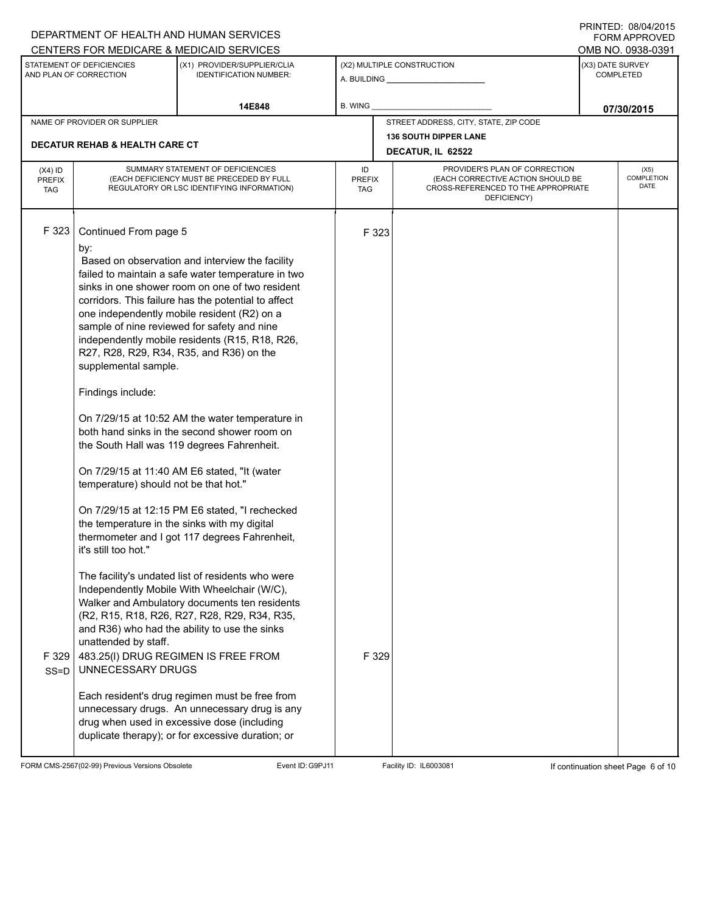|                                          |                                                                                                                                                                                                                                         | DEPARTMENT OF HEALTH AND HUMAN SERVICES<br>CENTERS FOR MEDICARE & MEDICAID SERVICES                                                                                                                                                                                                                                                                                                                                                                                                                                                                                                                                                                                                                                                                                                                                                                                                                                                                                                                                                                                                                                                                                                                                 |                                                                                                                                                               |                |                                                   |                                      | <b>FORM APPROVED</b><br>OMB NO. 0938-0391 |  |
|------------------------------------------|-----------------------------------------------------------------------------------------------------------------------------------------------------------------------------------------------------------------------------------------|---------------------------------------------------------------------------------------------------------------------------------------------------------------------------------------------------------------------------------------------------------------------------------------------------------------------------------------------------------------------------------------------------------------------------------------------------------------------------------------------------------------------------------------------------------------------------------------------------------------------------------------------------------------------------------------------------------------------------------------------------------------------------------------------------------------------------------------------------------------------------------------------------------------------------------------------------------------------------------------------------------------------------------------------------------------------------------------------------------------------------------------------------------------------------------------------------------------------|---------------------------------------------------------------------------------------------------------------------------------------------------------------|----------------|---------------------------------------------------|--------------------------------------|-------------------------------------------|--|
|                                          | STATEMENT OF DEFICIENCIES<br>AND PLAN OF CORRECTION                                                                                                                                                                                     | (X1) PROVIDER/SUPPLIER/CLIA<br><b>IDENTIFICATION NUMBER:</b>                                                                                                                                                                                                                                                                                                                                                                                                                                                                                                                                                                                                                                                                                                                                                                                                                                                                                                                                                                                                                                                                                                                                                        |                                                                                                                                                               |                | (X2) MULTIPLE CONSTRUCTION                        | (X3) DATE SURVEY<br><b>COMPLETED</b> |                                           |  |
|                                          |                                                                                                                                                                                                                                         | 14E848                                                                                                                                                                                                                                                                                                                                                                                                                                                                                                                                                                                                                                                                                                                                                                                                                                                                                                                                                                                                                                                                                                                                                                                                              | B. WING                                                                                                                                                       |                |                                                   |                                      | 07/30/2015                                |  |
|                                          | NAME OF PROVIDER OR SUPPLIER                                                                                                                                                                                                            |                                                                                                                                                                                                                                                                                                                                                                                                                                                                                                                                                                                                                                                                                                                                                                                                                                                                                                                                                                                                                                                                                                                                                                                                                     |                                                                                                                                                               |                | STREET ADDRESS, CITY, STATE, ZIP CODE             |                                      |                                           |  |
|                                          | <b>DECATUR REHAB &amp; HEALTH CARE CT</b>                                                                                                                                                                                               |                                                                                                                                                                                                                                                                                                                                                                                                                                                                                                                                                                                                                                                                                                                                                                                                                                                                                                                                                                                                                                                                                                                                                                                                                     |                                                                                                                                                               |                | <b>136 SOUTH DIPPER LANE</b><br>DECATUR, IL 62522 |                                      |                                           |  |
| $(X4)$ ID<br><b>PREFIX</b><br><b>TAG</b> |                                                                                                                                                                                                                                         | SUMMARY STATEMENT OF DEFICIENCIES<br>(EACH DEFICIENCY MUST BE PRECEDED BY FULL<br>REGULATORY OR LSC IDENTIFYING INFORMATION)                                                                                                                                                                                                                                                                                                                                                                                                                                                                                                                                                                                                                                                                                                                                                                                                                                                                                                                                                                                                                                                                                        | PROVIDER'S PLAN OF CORRECTION<br>ID<br>(EACH CORRECTIVE ACTION SHOULD BE<br><b>PREFIX</b><br>CROSS-REFERENCED TO THE APPROPRIATE<br><b>TAG</b><br>DEFICIENCY) |                |                                                   |                                      | (X5)<br>COMPLETION<br>DATE                |  |
| F 323<br>F 329<br>$SS = D$               | Continued From page 5<br>by:<br>supplemental sample.<br>Findings include:<br>temperature) should not be that hot."<br>the temperature in the sinks with my digital<br>it's still too hot."<br>unattended by staff.<br>UNNECESSARY DRUGS | Based on observation and interview the facility<br>failed to maintain a safe water temperature in two<br>sinks in one shower room on one of two resident<br>corridors. This failure has the potential to affect<br>one independently mobile resident (R2) on a<br>sample of nine reviewed for safety and nine<br>independently mobile residents (R15, R18, R26,<br>R27, R28, R29, R34, R35, and R36) on the<br>On 7/29/15 at 10:52 AM the water temperature in<br>both hand sinks in the second shower room on<br>the South Hall was 119 degrees Fahrenheit.<br>On 7/29/15 at 11:40 AM E6 stated, "It (water<br>On 7/29/15 at 12:15 PM E6 stated, "I rechecked<br>thermometer and I got 117 degrees Fahrenheit,<br>The facility's undated list of residents who were<br>Independently Mobile With Wheelchair (W/C),<br>Walker and Ambulatory documents ten residents<br>(R2, R15, R18, R26, R27, R28, R29, R34, R35,<br>and R36) who had the ability to use the sinks<br>483.25(I) DRUG REGIMEN IS FREE FROM<br>Each resident's drug regimen must be free from<br>unnecessary drugs. An unnecessary drug is any<br>drug when used in excessive dose (including<br>duplicate therapy); or for excessive duration; or |                                                                                                                                                               | F 323<br>F 329 |                                                   |                                      |                                           |  |
|                                          |                                                                                                                                                                                                                                         |                                                                                                                                                                                                                                                                                                                                                                                                                                                                                                                                                                                                                                                                                                                                                                                                                                                                                                                                                                                                                                                                                                                                                                                                                     |                                                                                                                                                               |                |                                                   |                                      |                                           |  |

FORM CMS-2567(02-99) Previous Versions Obsolete Event ID:G9PJ11 Facility ID: IL6003081 If continuation sheet Page 6 of 10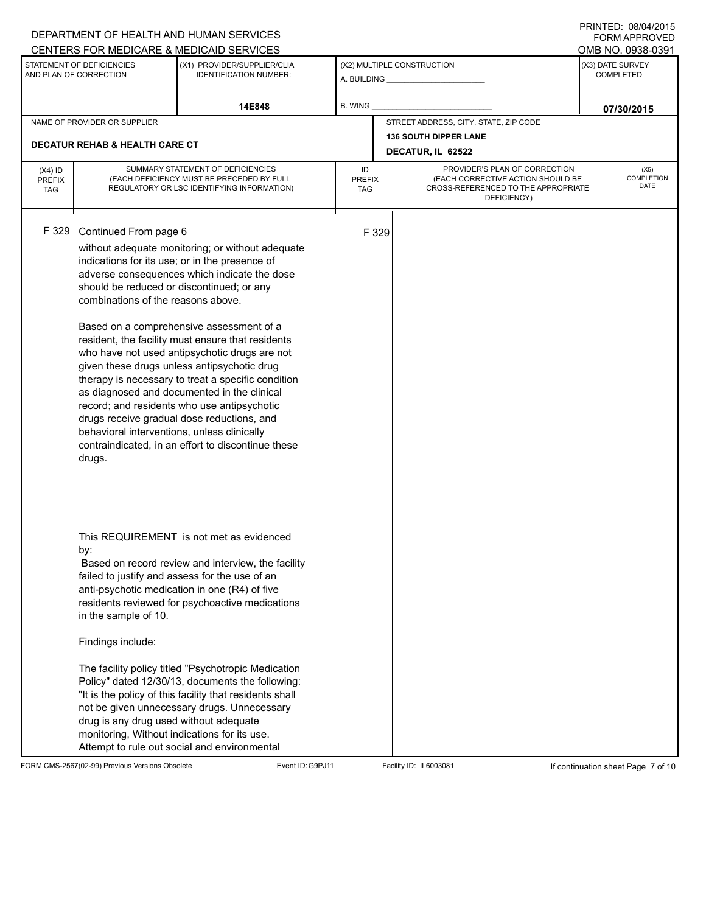|                                          |                                                                                                                                                                   | DEPARTMENT OF HEALTH AND HUMAN SERVICES<br>CENTERS FOR MEDICARE & MEDICAID SERVICES                                                                                                                                                                                                                                                                                                                                                                                                                                                                                                                         |                            |                                                                                                                                                         |                                                   |                                      | FININILU. VOIVHIZU IJ<br><b>FORM APPROVED</b><br>OMB NO. 0938-0391 |
|------------------------------------------|-------------------------------------------------------------------------------------------------------------------------------------------------------------------|-------------------------------------------------------------------------------------------------------------------------------------------------------------------------------------------------------------------------------------------------------------------------------------------------------------------------------------------------------------------------------------------------------------------------------------------------------------------------------------------------------------------------------------------------------------------------------------------------------------|----------------------------|---------------------------------------------------------------------------------------------------------------------------------------------------------|---------------------------------------------------|--------------------------------------|--------------------------------------------------------------------|
|                                          | STATEMENT OF DEFICIENCIES<br>AND PLAN OF CORRECTION                                                                                                               | (X1) PROVIDER/SUPPLIER/CLIA<br><b>IDENTIFICATION NUMBER:</b>                                                                                                                                                                                                                                                                                                                                                                                                                                                                                                                                                | (X2) MULTIPLE CONSTRUCTION |                                                                                                                                                         |                                                   | (X3) DATE SURVEY<br><b>COMPLETED</b> |                                                                    |
|                                          |                                                                                                                                                                   | 14E848                                                                                                                                                                                                                                                                                                                                                                                                                                                                                                                                                                                                      | <b>B. WING</b>             |                                                                                                                                                         |                                                   |                                      | 07/30/2015                                                         |
|                                          | NAME OF PROVIDER OR SUPPLIER                                                                                                                                      |                                                                                                                                                                                                                                                                                                                                                                                                                                                                                                                                                                                                             |                            |                                                                                                                                                         | STREET ADDRESS, CITY, STATE, ZIP CODE             |                                      |                                                                    |
|                                          | <b>DECATUR REHAB &amp; HEALTH CARE CT</b>                                                                                                                         |                                                                                                                                                                                                                                                                                                                                                                                                                                                                                                                                                                                                             |                            |                                                                                                                                                         | <b>136 SOUTH DIPPER LANE</b><br>DECATUR, IL 62522 |                                      |                                                                    |
| $(X4)$ ID<br><b>PREFIX</b><br><b>TAG</b> |                                                                                                                                                                   | SUMMARY STATEMENT OF DEFICIENCIES<br>(EACH DEFICIENCY MUST BE PRECEDED BY FULL<br>REGULATORY OR LSC IDENTIFYING INFORMATION)                                                                                                                                                                                                                                                                                                                                                                                                                                                                                | ID                         | PROVIDER'S PLAN OF CORRECTION<br>(EACH CORRECTIVE ACTION SHOULD BE<br><b>PREFIX</b><br>CROSS-REFERENCED TO THE APPROPRIATE<br><b>TAG</b><br>DEFICIENCY) |                                                   |                                      |                                                                    |
| F 329                                    | Continued From page 6<br>should be reduced or discontinued; or any<br>combinations of the reasons above.<br>behavioral interventions, unless clinically<br>drugs. | without adequate monitoring; or without adequate<br>indications for its use; or in the presence of<br>adverse consequences which indicate the dose<br>Based on a comprehensive assessment of a<br>resident, the facility must ensure that residents<br>who have not used antipsychotic drugs are not<br>given these drugs unless antipsychotic drug<br>therapy is necessary to treat a specific condition<br>as diagnosed and documented in the clinical<br>record; and residents who use antipsychotic<br>drugs receive gradual dose reductions, and<br>contraindicated, in an effort to discontinue these |                            | F 329                                                                                                                                                   |                                                   |                                      |                                                                    |
|                                          | by:<br>in the sample of 10.<br>Findings include:<br>drug is any drug used without adequate<br>monitoring, Without indications for its use.                        | This REQUIREMENT is not met as evidenced<br>Based on record review and interview, the facility<br>failed to justify and assess for the use of an<br>anti-psychotic medication in one (R4) of five<br>residents reviewed for psychoactive medications<br>The facility policy titled "Psychotropic Medication<br>Policy" dated 12/30/13, documents the following:<br>"It is the policy of this facility that residents shall<br>not be given unnecessary drugs. Unnecessary<br>Attempt to rule out social and environmental                                                                                   |                            |                                                                                                                                                         |                                                   |                                      |                                                                    |

FORM CMS-2567(02-99) Previous Versions Obsolete Event ID:G9PJ11 Facility ID: IL6003081 If continuation sheet Page 7 of 10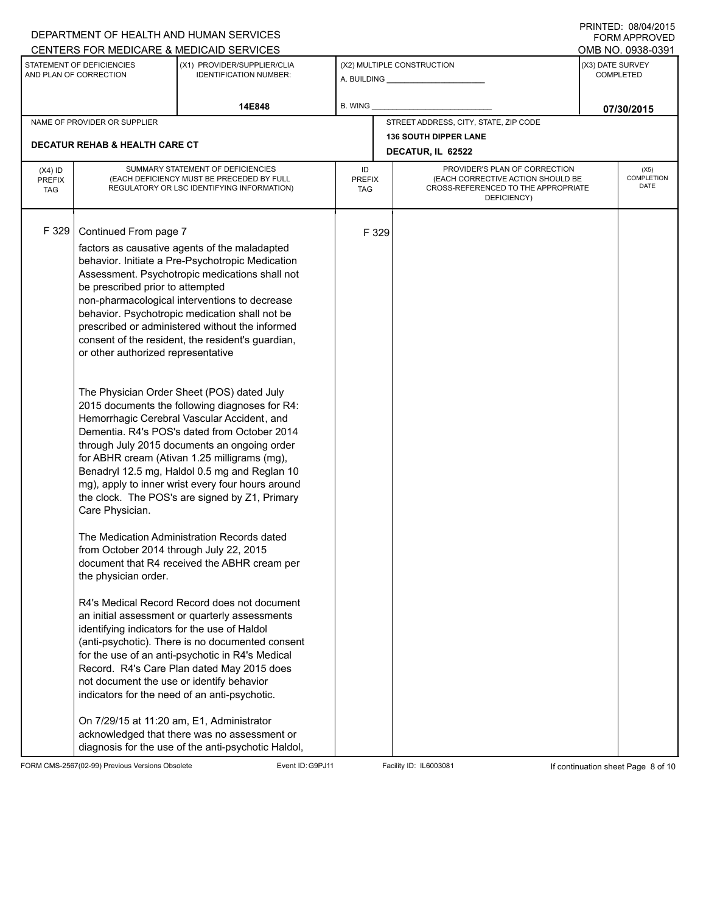|                                          |                                                                                                                                                                                                                                                                                                                                 | DEPARTMENT OF HEALTH AND HUMAN SERVICES<br>CENTERS FOR MEDICARE & MEDICAID SERVICES                                                                                                                                                                                                                                                                                                                                                                                                                                                                                                                                                                                                                                                                                                                                                                                                                                                                                                                                                                                                                                                                                                                                                                                                                                                  |                                                   |                                                                                                                                                         |                                       |                  | FININILU. VOIVHIZU IJ<br><b>FORM APPROVED</b><br>OMB NO. 0938-0391 |
|------------------------------------------|---------------------------------------------------------------------------------------------------------------------------------------------------------------------------------------------------------------------------------------------------------------------------------------------------------------------------------|--------------------------------------------------------------------------------------------------------------------------------------------------------------------------------------------------------------------------------------------------------------------------------------------------------------------------------------------------------------------------------------------------------------------------------------------------------------------------------------------------------------------------------------------------------------------------------------------------------------------------------------------------------------------------------------------------------------------------------------------------------------------------------------------------------------------------------------------------------------------------------------------------------------------------------------------------------------------------------------------------------------------------------------------------------------------------------------------------------------------------------------------------------------------------------------------------------------------------------------------------------------------------------------------------------------------------------------|---------------------------------------------------|---------------------------------------------------------------------------------------------------------------------------------------------------------|---------------------------------------|------------------|--------------------------------------------------------------------|
|                                          | STATEMENT OF DEFICIENCIES<br>AND PLAN OF CORRECTION                                                                                                                                                                                                                                                                             | (X1) PROVIDER/SUPPLIER/CLIA<br><b>IDENTIFICATION NUMBER:</b>                                                                                                                                                                                                                                                                                                                                                                                                                                                                                                                                                                                                                                                                                                                                                                                                                                                                                                                                                                                                                                                                                                                                                                                                                                                                         |                                                   |                                                                                                                                                         | (X2) MULTIPLE CONSTRUCTION            | (X3) DATE SURVEY | <b>COMPLETED</b>                                                   |
|                                          |                                                                                                                                                                                                                                                                                                                                 | 14E848                                                                                                                                                                                                                                                                                                                                                                                                                                                                                                                                                                                                                                                                                                                                                                                                                                                                                                                                                                                                                                                                                                                                                                                                                                                                                                                               | <b>B. WING</b>                                    |                                                                                                                                                         |                                       |                  | 07/30/2015                                                         |
|                                          | NAME OF PROVIDER OR SUPPLIER                                                                                                                                                                                                                                                                                                    |                                                                                                                                                                                                                                                                                                                                                                                                                                                                                                                                                                                                                                                                                                                                                                                                                                                                                                                                                                                                                                                                                                                                                                                                                                                                                                                                      |                                                   |                                                                                                                                                         | STREET ADDRESS, CITY, STATE, ZIP CODE |                  |                                                                    |
|                                          | <b>DECATUR REHAB &amp; HEALTH CARE CT</b>                                                                                                                                                                                                                                                                                       |                                                                                                                                                                                                                                                                                                                                                                                                                                                                                                                                                                                                                                                                                                                                                                                                                                                                                                                                                                                                                                                                                                                                                                                                                                                                                                                                      | <b>136 SOUTH DIPPER LANE</b><br>DECATUR, IL 62522 |                                                                                                                                                         |                                       |                  |                                                                    |
| $(X4)$ ID<br><b>PREFIX</b><br><b>TAG</b> |                                                                                                                                                                                                                                                                                                                                 | SUMMARY STATEMENT OF DEFICIENCIES<br>(EACH DEFICIENCY MUST BE PRECEDED BY FULL<br>REGULATORY OR LSC IDENTIFYING INFORMATION)                                                                                                                                                                                                                                                                                                                                                                                                                                                                                                                                                                                                                                                                                                                                                                                                                                                                                                                                                                                                                                                                                                                                                                                                         | ID<br><b>TAG</b>                                  | PROVIDER'S PLAN OF CORRECTION<br>COMPLETION<br>(EACH CORRECTIVE ACTION SHOULD BE<br><b>PREFIX</b><br>CROSS-REFERENCED TO THE APPROPRIATE<br>DEFICIENCY) |                                       |                  |                                                                    |
| F 329                                    | Continued From page 7<br>be prescribed prior to attempted<br>or other authorized representative<br>Care Physician.<br>from October 2014 through July 22, 2015<br>the physician order.<br>identifying indicators for the use of Haldol<br>not document the use or identify behavior<br>On 7/29/15 at 11:20 am, E1, Administrator | factors as causative agents of the maladapted<br>behavior. Initiate a Pre-Psychotropic Medication<br>Assessment. Psychotropic medications shall not<br>non-pharmacological interventions to decrease<br>behavior. Psychotropic medication shall not be<br>prescribed or administered without the informed<br>consent of the resident, the resident's guardian,<br>The Physician Order Sheet (POS) dated July<br>2015 documents the following diagnoses for R4:<br>Hemorrhagic Cerebral Vascular Accident, and<br>Dementia. R4's POS's dated from October 2014<br>through July 2015 documents an ongoing order<br>for ABHR cream (Ativan 1.25 milligrams (mg),<br>Benadryl 12.5 mg, Haldol 0.5 mg and Reglan 10<br>mg), apply to inner wrist every four hours around<br>the clock. The POS's are signed by Z1, Primary<br>The Medication Administration Records dated<br>document that R4 received the ABHR cream per<br>R4's Medical Record Record does not document<br>an initial assessment or quarterly assessments<br>(anti-psychotic). There is no documented consent<br>for the use of an anti-psychotic in R4's Medical<br>Record. R4's Care Plan dated May 2015 does<br>indicators for the need of an anti-psychotic.<br>acknowledged that there was no assessment or<br>diagnosis for the use of the anti-psychotic Haldol, |                                                   | F 329                                                                                                                                                   |                                       |                  |                                                                    |

FORM CMS-2567(02-99) Previous Versions Obsolete Event ID:G9PJ11 Facility ID: IL6003081 If continuation sheet Page 8 of 10

PRINTED: 08/04/2015 FORM APPROVED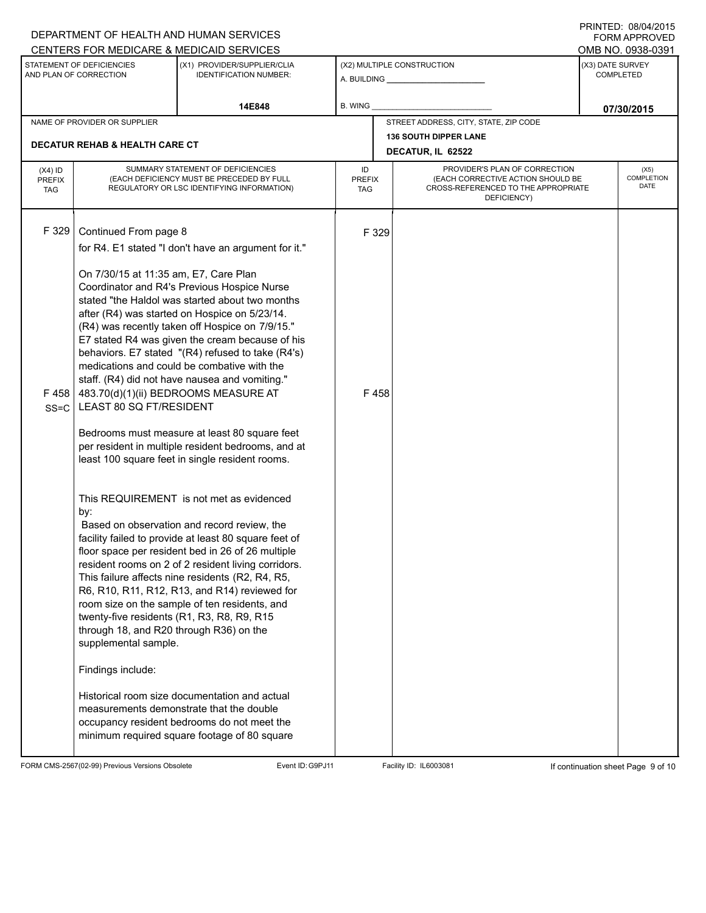| (X1) PROVIDER/SUPPLIER/CLIA<br>(X3) DATE SURVEY<br>STATEMENT OF DEFICIENCIES<br>(X2) MULTIPLE CONSTRUCTION<br>AND PLAN OF CORRECTION<br><b>IDENTIFICATION NUMBER:</b><br><b>COMPLETED</b><br>A. BUILDING A. BUILDING<br><b>B. WING</b><br>14E848<br>07/30/2015<br>STREET ADDRESS, CITY, STATE, ZIP CODE<br>NAME OF PROVIDER OR SUPPLIER<br><b>136 SOUTH DIPPER LANE</b><br><b>DECATUR REHAB &amp; HEALTH CARE CT</b><br>DECATUR, IL 62522<br>SUMMARY STATEMENT OF DEFICIENCIES<br>PROVIDER'S PLAN OF CORRECTION<br>ID<br>$(X4)$ ID<br>(X5)<br>(EACH CORRECTIVE ACTION SHOULD BE<br>(EACH DEFICIENCY MUST BE PRECEDED BY FULL<br><b>PREFIX</b><br><b>PREFIX</b><br><b>DATE</b><br>CROSS-REFERENCED TO THE APPROPRIATE<br>REGULATORY OR LSC IDENTIFYING INFORMATION)<br><b>TAG</b><br><b>TAG</b><br>DEFICIENCY)<br>F 329<br>Continued From page 8<br>F 329<br>for R4. E1 stated "I don't have an argument for it."                                                                                                                                                                                                                                                                                                                                                                                                                                                                                                                                                              | DEPARTMENT OF HEALTH AND HUMAN SERVICES<br>CENTERS FOR MEDICARE & MEDICAID SERVICES |  |  |  |  |  |            | FININILU. VOIVHIZU IJ<br><b>FORM APPROVED</b><br>OMB NO. 0938-0391 |  |  |  |
|-------------------------------------------------------------------------------------------------------------------------------------------------------------------------------------------------------------------------------------------------------------------------------------------------------------------------------------------------------------------------------------------------------------------------------------------------------------------------------------------------------------------------------------------------------------------------------------------------------------------------------------------------------------------------------------------------------------------------------------------------------------------------------------------------------------------------------------------------------------------------------------------------------------------------------------------------------------------------------------------------------------------------------------------------------------------------------------------------------------------------------------------------------------------------------------------------------------------------------------------------------------------------------------------------------------------------------------------------------------------------------------------------------------------------------------------------------------------------------|-------------------------------------------------------------------------------------|--|--|--|--|--|------------|--------------------------------------------------------------------|--|--|--|
|                                                                                                                                                                                                                                                                                                                                                                                                                                                                                                                                                                                                                                                                                                                                                                                                                                                                                                                                                                                                                                                                                                                                                                                                                                                                                                                                                                                                                                                                               |                                                                                     |  |  |  |  |  |            |                                                                    |  |  |  |
|                                                                                                                                                                                                                                                                                                                                                                                                                                                                                                                                                                                                                                                                                                                                                                                                                                                                                                                                                                                                                                                                                                                                                                                                                                                                                                                                                                                                                                                                               |                                                                                     |  |  |  |  |  |            |                                                                    |  |  |  |
|                                                                                                                                                                                                                                                                                                                                                                                                                                                                                                                                                                                                                                                                                                                                                                                                                                                                                                                                                                                                                                                                                                                                                                                                                                                                                                                                                                                                                                                                               |                                                                                     |  |  |  |  |  |            |                                                                    |  |  |  |
|                                                                                                                                                                                                                                                                                                                                                                                                                                                                                                                                                                                                                                                                                                                                                                                                                                                                                                                                                                                                                                                                                                                                                                                                                                                                                                                                                                                                                                                                               |                                                                                     |  |  |  |  |  |            |                                                                    |  |  |  |
|                                                                                                                                                                                                                                                                                                                                                                                                                                                                                                                                                                                                                                                                                                                                                                                                                                                                                                                                                                                                                                                                                                                                                                                                                                                                                                                                                                                                                                                                               |                                                                                     |  |  |  |  |  | COMPLETION |                                                                    |  |  |  |
| On 7/30/15 at 11:35 am, E7, Care Plan<br>Coordinator and R4's Previous Hospice Nurse<br>stated "the Haldol was started about two months<br>after (R4) was started on Hospice on 5/23/14.<br>(R4) was recently taken off Hospice on 7/9/15."<br>E7 stated R4 was given the cream because of his<br>behaviors. E7 stated "(R4) refused to take (R4's)<br>medications and could be combative with the<br>staff. (R4) did not have nausea and vomiting."<br>483.70(d)(1)(ii) BEDROOMS MEASURE AT<br>F458<br>F 458<br>LEAST 80 SQ FT/RESIDENT<br>$SS = C$<br>Bedrooms must measure at least 80 square feet<br>per resident in multiple resident bedrooms, and at<br>least 100 square feet in single resident rooms.<br>This REQUIREMENT is not met as evidenced<br>by:<br>Based on observation and record review, the<br>facility failed to provide at least 80 square feet of<br>floor space per resident bed in 26 of 26 multiple<br>resident rooms on 2 of 2 resident living corridors.<br>This failure affects nine residents (R2, R4, R5,<br>R6, R10, R11, R12, R13, and R14) reviewed for<br>room size on the sample of ten residents, and<br>twenty-five residents (R1, R3, R8, R9, R15<br>through 18, and R20 through R36) on the<br>supplemental sample.<br>Findings include:<br>Historical room size documentation and actual<br>measurements demonstrate that the double<br>occupancy resident bedrooms do not meet the<br>minimum required square footage of 80 square |                                                                                     |  |  |  |  |  |            |                                                                    |  |  |  |

FORM CMS-2567(02-99) Previous Versions Obsolete Event ID:G9PJ11 Facility ID: IL6003081 If continuation sheet Page 9 of 10